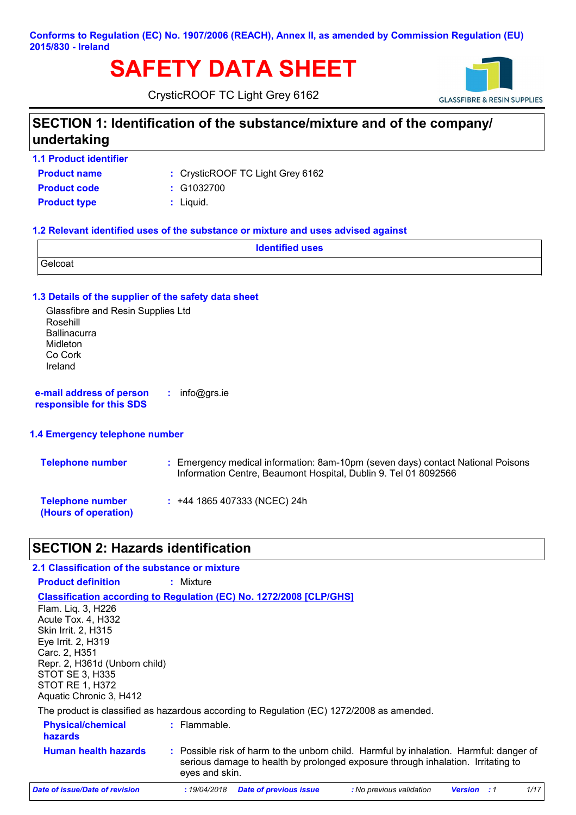**Conforms to Regulation (EC) No. 1907/2006 (REACH), Annex II, as amended by Commission Regulation (EU) 2015/830 - Ireland**

# **SAFETY DATA SHEET**

CrysticROOF TC Light Grey 6162



### **SECTION 1: Identification of the substance/mixture and of the company/ undertaking**

**1.1 Product identifier**

CrysticROOF TC Light Grey 6162 **:**

**Product name Product type**  $\qquad$ **: Liquid. Product code :** G1032700

#### **1.2 Relevant identified uses of the substance or mixture and uses advised against**

|         | <b>Identified uses</b> |
|---------|------------------------|
| Gelcoat |                        |

#### **1.3 Details of the supplier of the safety data sheet**

Glassfibre and Resin Supplies Ltd Rosehill **Ballinacurra** Midleton Co Cork Ireland

**e-mail address of person responsible for this SDS :** info@grs.ie

#### **1.4 Emergency telephone number**

| <b>Telephone number</b>                         | : Emergency medical information: 8am-10pm (seven days) contact National Poisons<br>Information Centre, Beaumont Hospital, Dublin 9. Tel 01 8092566 |
|-------------------------------------------------|----------------------------------------------------------------------------------------------------------------------------------------------------|
| <b>Telephone number</b><br>(Hours of operation) | $: +44$ 1865 407333 (NCEC) 24h                                                                                                                     |

### **SECTION 2: Hazards identification**

| 2.1 Classification of the substance or mixture                                                                                                                                                           |                                                                                                                                                                                              |
|----------------------------------------------------------------------------------------------------------------------------------------------------------------------------------------------------------|----------------------------------------------------------------------------------------------------------------------------------------------------------------------------------------------|
| <b>Product definition</b>                                                                                                                                                                                | : Mixture                                                                                                                                                                                    |
| Flam. Lig. 3, H226<br>Acute Tox. 4, H332<br>Skin Irrit. 2, H315<br>Eye Irrit. 2, H319<br>Carc. 2, H351<br>Repr. 2, H361d (Unborn child)<br>STOT SE 3, H335<br>STOT RE 1, H372<br>Aquatic Chronic 3, H412 | <b>Classification according to Regulation (EC) No. 1272/2008 [CLP/GHS]</b>                                                                                                                   |
|                                                                                                                                                                                                          | The product is classified as hazardous according to Regulation (EC) 1272/2008 as amended.                                                                                                    |
| <b>Physical/chemical</b><br><b>hazards</b>                                                                                                                                                               | $:$ Flammable.                                                                                                                                                                               |
| <b>Human health hazards</b>                                                                                                                                                                              | : Possible risk of harm to the unborn child. Harmful by inhalation. Harmful: danger of<br>serious damage to health by prolonged exposure through inhalation. Irritating to<br>eyes and skin. |
| Date of issue/Date of revision                                                                                                                                                                           | 1/17<br><b>Date of previous issue</b><br>:19/04/2018<br>: No previous validation<br>Version<br>:1                                                                                            |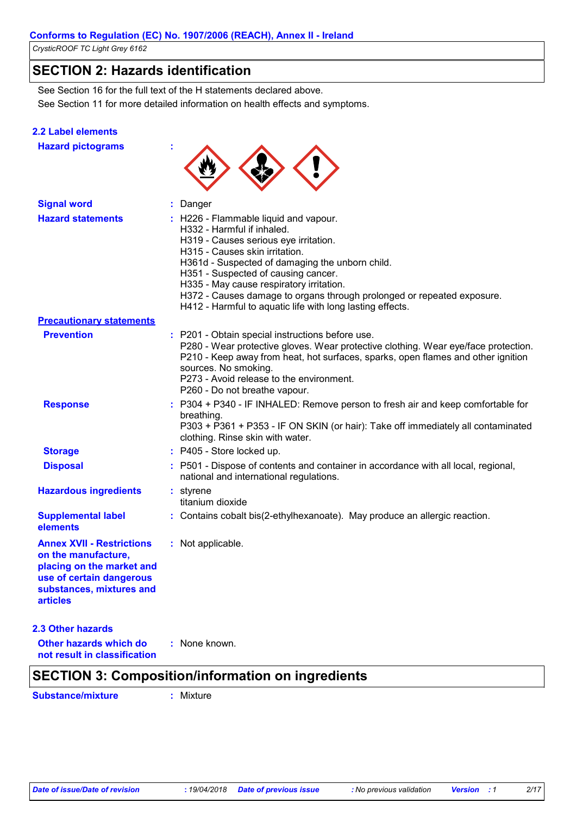### **SECTION 2: Hazards identification**

See Section 11 for more detailed information on health effects and symptoms. See Section 16 for the full text of the H statements declared above.

#### **2.2 Label elements**

|  |  | <b>Hazard pictograms</b> |  |
|--|--|--------------------------|--|
|--|--|--------------------------|--|



| <b>Signal word</b>                                                                                                                                              | : Danger                                                                                                                                                                                                                                                                                                                                                                                                                    |
|-----------------------------------------------------------------------------------------------------------------------------------------------------------------|-----------------------------------------------------------------------------------------------------------------------------------------------------------------------------------------------------------------------------------------------------------------------------------------------------------------------------------------------------------------------------------------------------------------------------|
| <b>Hazard statements</b>                                                                                                                                        | : H226 - Flammable liquid and vapour.<br>H332 - Harmful if inhaled.<br>H319 - Causes serious eye irritation.<br>H315 - Causes skin irritation.<br>H361d - Suspected of damaging the unborn child.<br>H351 - Suspected of causing cancer.<br>H335 - May cause respiratory irritation.<br>H372 - Causes damage to organs through prolonged or repeated exposure.<br>H412 - Harmful to aquatic life with long lasting effects. |
| <b>Precautionary statements</b>                                                                                                                                 |                                                                                                                                                                                                                                                                                                                                                                                                                             |
| <b>Prevention</b>                                                                                                                                               | : P201 - Obtain special instructions before use.<br>P280 - Wear protective gloves. Wear protective clothing. Wear eye/face protection.<br>P210 - Keep away from heat, hot surfaces, sparks, open flames and other ignition<br>sources. No smoking.<br>P273 - Avoid release to the environment.<br>P260 - Do not breathe vapour.                                                                                             |
| <b>Response</b>                                                                                                                                                 | : P304 + P340 - IF INHALED: Remove person to fresh air and keep comfortable for<br>breathing.<br>P303 + P361 + P353 - IF ON SKIN (or hair): Take off immediately all contaminated<br>clothing. Rinse skin with water.                                                                                                                                                                                                       |
| <b>Storage</b>                                                                                                                                                  | : P405 - Store locked up.                                                                                                                                                                                                                                                                                                                                                                                                   |
| <b>Disposal</b>                                                                                                                                                 | : P501 - Dispose of contents and container in accordance with all local, regional,<br>national and international regulations.                                                                                                                                                                                                                                                                                               |
| <b>Hazardous ingredients</b>                                                                                                                                    | : styrene<br>titanium dioxide                                                                                                                                                                                                                                                                                                                                                                                               |
| <b>Supplemental label</b><br>elements                                                                                                                           | : Contains cobalt bis(2-ethylhexanoate). May produce an allergic reaction.                                                                                                                                                                                                                                                                                                                                                  |
| <b>Annex XVII - Restrictions</b><br>on the manufacture,<br>placing on the market and<br>use of certain dangerous<br>substances, mixtures and<br><b>articles</b> | : Not applicable.                                                                                                                                                                                                                                                                                                                                                                                                           |
| <b>2.3 Other hazards</b><br><b>Other hazards which do</b><br>not result in classification                                                                       | : None known.<br>.<br>.                                                                                                                                                                                                                                                                                                                                                                                                     |

### **SECTION 3: Composition/information on ingredients**

**Substance/mixture :** Mixture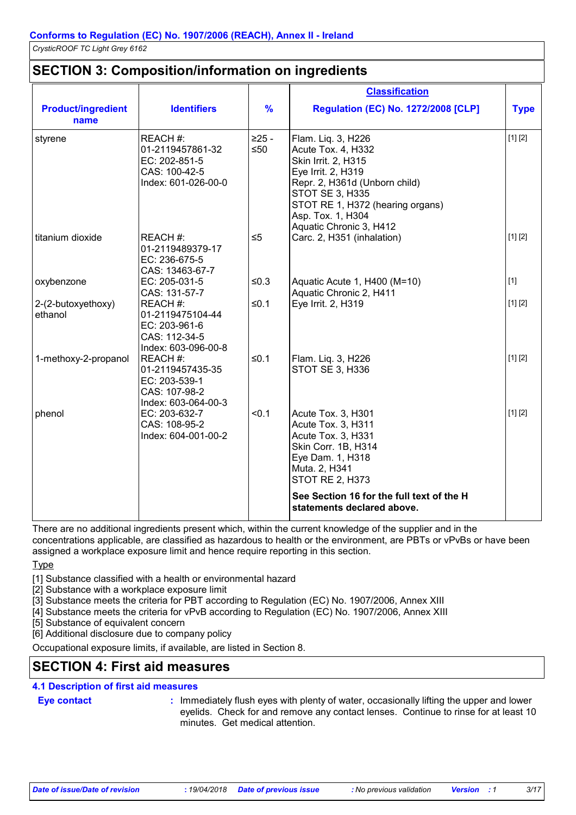### **SECTION 3: Composition/information on ingredients**

|                                   |                                                                                       |                      | <b>Classification</b>                                                                                                                                                                                                                |             |
|-----------------------------------|---------------------------------------------------------------------------------------|----------------------|--------------------------------------------------------------------------------------------------------------------------------------------------------------------------------------------------------------------------------------|-------------|
| <b>Product/ingredient</b><br>name | <b>Identifiers</b>                                                                    | $\frac{9}{6}$        | <b>Regulation (EC) No. 1272/2008 [CLP]</b>                                                                                                                                                                                           | <b>Type</b> |
| styrene                           | REACH#:<br>01-2119457861-32<br>EC: 202-851-5<br>CAS: 100-42-5<br>Index: 601-026-00-0  | $>25 -$<br>$\leq 50$ | Flam. Liq. 3, H226<br>Acute Tox. 4, H332<br>Skin Irrit. 2, H315<br>Eye Irrit. 2, H319<br>Repr. 2, H361d (Unborn child)<br><b>STOT SE 3, H335</b><br>STOT RE 1, H372 (hearing organs)<br>Asp. Tox. 1, H304<br>Aquatic Chronic 3, H412 | [1] [2]     |
| titanium dioxide                  | REACH#:<br>01-2119489379-17<br>EC: 236-675-5<br>CAS: 13463-67-7                       | $\leq 5$             | Carc. 2, H351 (inhalation)                                                                                                                                                                                                           | [1] [2]     |
| oxybenzone                        | EC: 205-031-5<br>CAS: 131-57-7                                                        | $≤0.3$               | Aquatic Acute 1, H400 (M=10)<br>Aquatic Chronic 2, H411                                                                                                                                                                              | $[1]$       |
| 2-(2-butoxyethoxy)<br>ethanol     | REACH #:<br>01-2119475104-44<br>EC: 203-961-6<br>CAS: 112-34-5<br>Index: 603-096-00-8 | ≤0.1                 | Eye Irrit. 2, H319                                                                                                                                                                                                                   | [1] [2]     |
| 1-methoxy-2-propanol              | REACH#:<br>01-2119457435-35<br>EC: 203-539-1<br>CAS: 107-98-2<br>Index: 603-064-00-3  | ≤0.1                 | Flam. Liq. 3, H226<br><b>STOT SE 3, H336</b>                                                                                                                                                                                         | [1] [2]     |
| phenol                            | EC: 203-632-7<br>CAS: 108-95-2<br>Index: 604-001-00-2                                 | < 0.1                | Acute Tox. 3, H301<br>Acute Tox. 3, H311<br>Acute Tox. 3, H331<br>Skin Corr. 1B, H314<br>Eye Dam. 1, H318<br>Muta. 2, H341<br><b>STOT RE 2, H373</b>                                                                                 | [1] [2]     |
|                                   |                                                                                       |                      | See Section 16 for the full text of the H<br>statements declared above.                                                                                                                                                              |             |

There are no additional ingredients present which, within the current knowledge of the supplier and in the concentrations applicable, are classified as hazardous to health or the environment, are PBTs or vPvBs or have been assigned a workplace exposure limit and hence require reporting in this section.

**Type** 

[1] Substance classified with a health or environmental hazard

[2] Substance with a workplace exposure limit

[3] Substance meets the criteria for PBT according to Regulation (EC) No. 1907/2006, Annex XIII

[4] Substance meets the criteria for vPvB according to Regulation (EC) No. 1907/2006, Annex XIII

[5] Substance of equivalent concern

[6] Additional disclosure due to company policy

Occupational exposure limits, if available, are listed in Section 8.

### **SECTION 4: First aid measures**

#### **4.1 Description of first aid measures**

- **Eye contact :**
- : Immediately flush eyes with plenty of water, occasionally lifting the upper and lower eyelids. Check for and remove any contact lenses. Continue to rinse for at least 10 minutes. Get medical attention.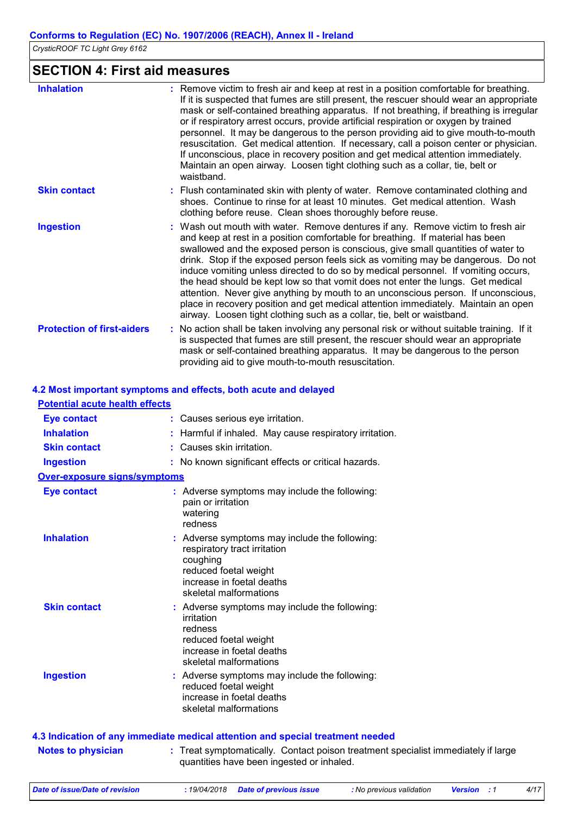### **SECTION 4: First aid measures**

| <b>Inhalation</b>                 | : Remove victim to fresh air and keep at rest in a position comfortable for breathing.<br>If it is suspected that fumes are still present, the rescuer should wear an appropriate<br>mask or self-contained breathing apparatus. If not breathing, if breathing is irregular<br>or if respiratory arrest occurs, provide artificial respiration or oxygen by trained<br>personnel. It may be dangerous to the person providing aid to give mouth-to-mouth<br>resuscitation. Get medical attention. If necessary, call a poison center or physician.<br>If unconscious, place in recovery position and get medical attention immediately.<br>Maintain an open airway. Loosen tight clothing such as a collar, tie, belt or<br>waistband.                                   |
|-----------------------------------|---------------------------------------------------------------------------------------------------------------------------------------------------------------------------------------------------------------------------------------------------------------------------------------------------------------------------------------------------------------------------------------------------------------------------------------------------------------------------------------------------------------------------------------------------------------------------------------------------------------------------------------------------------------------------------------------------------------------------------------------------------------------------|
| <b>Skin contact</b>               | : Flush contaminated skin with plenty of water. Remove contaminated clothing and<br>shoes. Continue to rinse for at least 10 minutes. Get medical attention. Wash<br>clothing before reuse. Clean shoes thoroughly before reuse.                                                                                                                                                                                                                                                                                                                                                                                                                                                                                                                                          |
| <b>Ingestion</b>                  | : Wash out mouth with water. Remove dentures if any. Remove victim to fresh air<br>and keep at rest in a position comfortable for breathing. If material has been<br>swallowed and the exposed person is conscious, give small quantities of water to<br>drink. Stop if the exposed person feels sick as vomiting may be dangerous. Do not<br>induce vomiting unless directed to do so by medical personnel. If vomiting occurs,<br>the head should be kept low so that vomit does not enter the lungs. Get medical<br>attention. Never give anything by mouth to an unconscious person. If unconscious,<br>place in recovery position and get medical attention immediately. Maintain an open<br>airway. Loosen tight clothing such as a collar, tie, belt or waistband. |
| <b>Protection of first-aiders</b> | : No action shall be taken involving any personal risk or without suitable training. If it<br>is suspected that fumes are still present, the rescuer should wear an appropriate<br>mask or self-contained breathing apparatus. It may be dangerous to the person<br>providing aid to give mouth-to-mouth resuscitation.                                                                                                                                                                                                                                                                                                                                                                                                                                                   |

#### **4.2 Most important symptoms and effects, both acute and delayed**

| <b>Potential acute health effects</b> |                                                                                                                                                                           |
|---------------------------------------|---------------------------------------------------------------------------------------------------------------------------------------------------------------------------|
| <b>Eye contact</b>                    | : Causes serious eye irritation.                                                                                                                                          |
| <b>Inhalation</b>                     | : Harmful if inhaled. May cause respiratory irritation.                                                                                                                   |
| <b>Skin contact</b>                   | : Causes skin irritation.                                                                                                                                                 |
| <b>Ingestion</b>                      | : No known significant effects or critical hazards.                                                                                                                       |
| <b>Over-exposure signs/symptoms</b>   |                                                                                                                                                                           |
| <b>Eye contact</b>                    | : Adverse symptoms may include the following:<br>pain or irritation<br>watering<br>redness                                                                                |
| <b>Inhalation</b>                     | : Adverse symptoms may include the following:<br>respiratory tract irritation<br>coughing<br>reduced foetal weight<br>increase in foetal deaths<br>skeletal malformations |
| <b>Skin contact</b>                   | : Adverse symptoms may include the following:<br>irritation<br>redness<br>reduced foetal weight<br>increase in foetal deaths<br>skeletal malformations                    |
| <b>Ingestion</b>                      | : Adverse symptoms may include the following:<br>reduced foetal weight<br>increase in foetal deaths<br>skeletal malformations                                             |
|                                       | 4.3 Indication of any immediate medical attention and special treatment needed                                                                                            |
| <b>Notes to physician</b>             | : Treat symptomatically. Contact poison treatment specialist immediately if large<br>quantities have been ingested or inhaled.                                            |

*Date of issue/Date of revision* **:** *19/04/2018 Date of previous issue : No previous validation Version : 1 4/17*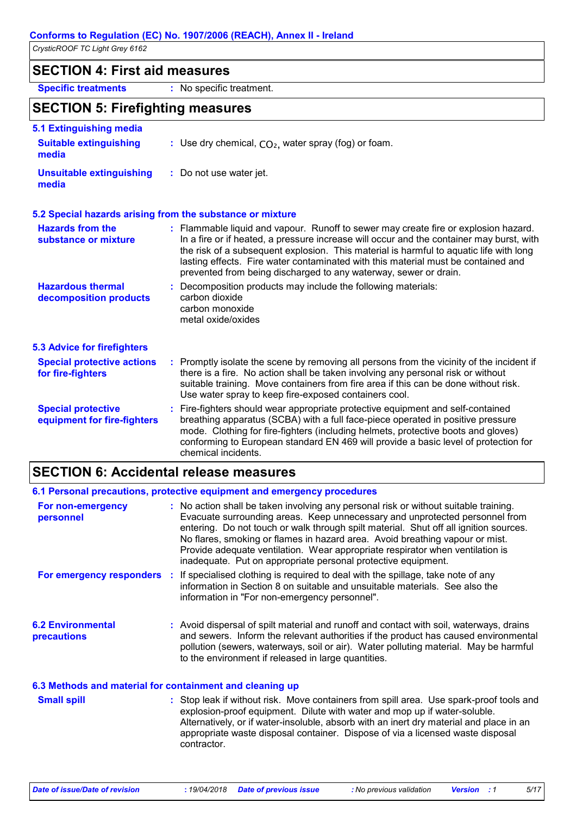### **SECTION 4: First aid measures**

**Specific treatments :** No specific treatment.

### **SECTION 5: Firefighting measures**

| 5.1 Extinguishing media                                  |                                                                                                                                                                                                                                                                                                                                                                                                                                    |
|----------------------------------------------------------|------------------------------------------------------------------------------------------------------------------------------------------------------------------------------------------------------------------------------------------------------------------------------------------------------------------------------------------------------------------------------------------------------------------------------------|
| <b>Suitable extinguishing</b><br>media                   | : Use dry chemical, $CO2$ , water spray (fog) or foam.                                                                                                                                                                                                                                                                                                                                                                             |
| <b>Unsuitable extinguishing</b><br>media                 | : Do not use water jet.                                                                                                                                                                                                                                                                                                                                                                                                            |
|                                                          | 5.2 Special hazards arising from the substance or mixture                                                                                                                                                                                                                                                                                                                                                                          |
| <b>Hazards from the</b><br>substance or mixture          | : Flammable liquid and vapour. Runoff to sewer may create fire or explosion hazard.<br>In a fire or if heated, a pressure increase will occur and the container may burst, with<br>the risk of a subsequent explosion. This material is harmful to aquatic life with long<br>lasting effects. Fire water contaminated with this material must be contained and<br>prevented from being discharged to any waterway, sewer or drain. |
| <b>Hazardous thermal</b><br>decomposition products       | : Decomposition products may include the following materials:<br>carbon dioxide<br>carbon monoxide<br>metal oxide/oxides                                                                                                                                                                                                                                                                                                           |
| <b>5.3 Advice for firefighters</b>                       |                                                                                                                                                                                                                                                                                                                                                                                                                                    |
| <b>Special protective actions</b><br>for fire-fighters   | : Promptly isolate the scene by removing all persons from the vicinity of the incident if<br>there is a fire. No action shall be taken involving any personal risk or without<br>suitable training. Move containers from fire area if this can be done without risk.<br>Use water spray to keep fire-exposed containers cool.                                                                                                      |
| <b>Special protective</b><br>equipment for fire-fighters | : Fire-fighters should wear appropriate protective equipment and self-contained<br>breathing apparatus (SCBA) with a full face-piece operated in positive pressure<br>mode. Clothing for fire-fighters (including helmets, protective boots and gloves)<br>conforming to European standard EN 469 will provide a basic level of protection for<br>chemical incidents.                                                              |

### **SECTION 6: Accidental release measures**

|                                                          | 6.1 Personal precautions, protective equipment and emergency procedures                                                                                                                                                                                                                                                                                                                                                                                                                        |
|----------------------------------------------------------|------------------------------------------------------------------------------------------------------------------------------------------------------------------------------------------------------------------------------------------------------------------------------------------------------------------------------------------------------------------------------------------------------------------------------------------------------------------------------------------------|
| For non-emergency<br>personnel                           | : No action shall be taken involving any personal risk or without suitable training.<br>Evacuate surrounding areas. Keep unnecessary and unprotected personnel from<br>entering. Do not touch or walk through spilt material. Shut off all ignition sources.<br>No flares, smoking or flames in hazard area. Avoid breathing vapour or mist.<br>Provide adequate ventilation. Wear appropriate respirator when ventilation is<br>inadequate. Put on appropriate personal protective equipment. |
|                                                          | For emergency responders : If specialised clothing is required to deal with the spillage, take note of any<br>information in Section 8 on suitable and unsuitable materials. See also the<br>information in "For non-emergency personnel".                                                                                                                                                                                                                                                     |
| <b>6.2 Environmental</b><br>precautions                  | : Avoid dispersal of spilt material and runoff and contact with soil, waterways, drains<br>and sewers. Inform the relevant authorities if the product has caused environmental<br>pollution (sewers, waterways, soil or air). Water polluting material. May be harmful<br>to the environment if released in large quantities.                                                                                                                                                                  |
| 6.3 Methods and material for containment and cleaning up |                                                                                                                                                                                                                                                                                                                                                                                                                                                                                                |
| <b>Small spill</b>                                       | : Stop leak if without risk. Move containers from spill area. Use spark-proof tools and<br>explosion-proof equipment. Dilute with water and mon up if water-soluble                                                                                                                                                                                                                                                                                                                            |

explosion-proof equipment. Dilute with water and mop up if water-soluble. Alternatively, or if water-insoluble, absorb with an inert dry material and place in an appropriate waste disposal container. Dispose of via a licensed waste disposal contractor.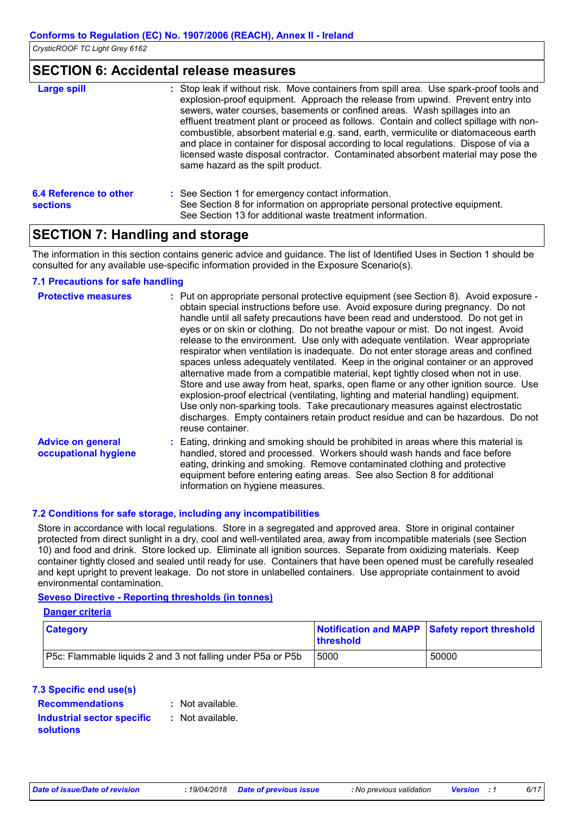### **SECTION 6: Accidental release measures**

| <b>Large spill</b>                        | : Stop leak if without risk. Move containers from spill area. Use spark-proof tools and<br>explosion-proof equipment. Approach the release from upwind. Prevent entry into<br>sewers, water courses, basements or confined areas. Wash spillages into an<br>effluent treatment plant or proceed as follows. Contain and collect spillage with non-<br>combustible, absorbent material e.g. sand, earth, vermiculite or diatomaceous earth<br>and place in container for disposal according to local regulations. Dispose of via a<br>licensed waste disposal contractor. Contaminated absorbent material may pose the<br>same hazard as the spilt product. |
|-------------------------------------------|------------------------------------------------------------------------------------------------------------------------------------------------------------------------------------------------------------------------------------------------------------------------------------------------------------------------------------------------------------------------------------------------------------------------------------------------------------------------------------------------------------------------------------------------------------------------------------------------------------------------------------------------------------|
| 6.4 Reference to other<br><b>sections</b> | : See Section 1 for emergency contact information.<br>See Section 8 for information on appropriate personal protective equipment.<br>See Section 13 for additional waste treatment information.                                                                                                                                                                                                                                                                                                                                                                                                                                                            |

### **SECTION 7: Handling and storage**

The information in this section contains generic advice and guidance. The list of Identified Uses in Section 1 should be consulted for any available use-specific information provided in the Exposure Scenario(s).

#### **7.1 Precautions for safe handling**

| <b>Protective measures</b>                       | : Put on appropriate personal protective equipment (see Section 8). Avoid exposure -<br>obtain special instructions before use. Avoid exposure during pregnancy. Do not<br>handle until all safety precautions have been read and understood. Do not get in<br>eyes or on skin or clothing. Do not breathe vapour or mist. Do not ingest. Avoid<br>release to the environment. Use only with adequate ventilation. Wear appropriate<br>respirator when ventilation is inadequate. Do not enter storage areas and confined<br>spaces unless adequately ventilated. Keep in the original container or an approved<br>alternative made from a compatible material, kept tightly closed when not in use.<br>Store and use away from heat, sparks, open flame or any other ignition source. Use<br>explosion-proof electrical (ventilating, lighting and material handling) equipment.<br>Use only non-sparking tools. Take precautionary measures against electrostatic<br>discharges. Empty containers retain product residue and can be hazardous. Do not<br>reuse container. |
|--------------------------------------------------|-----------------------------------------------------------------------------------------------------------------------------------------------------------------------------------------------------------------------------------------------------------------------------------------------------------------------------------------------------------------------------------------------------------------------------------------------------------------------------------------------------------------------------------------------------------------------------------------------------------------------------------------------------------------------------------------------------------------------------------------------------------------------------------------------------------------------------------------------------------------------------------------------------------------------------------------------------------------------------------------------------------------------------------------------------------------------------|
| <b>Advice on general</b><br>occupational hygiene | : Eating, drinking and smoking should be prohibited in areas where this material is<br>handled, stored and processed. Workers should wash hands and face before<br>eating, drinking and smoking. Remove contaminated clothing and protective<br>equipment before entering eating areas. See also Section 8 for additional<br>information on hygiene measures.                                                                                                                                                                                                                                                                                                                                                                                                                                                                                                                                                                                                                                                                                                               |

#### **7.2 Conditions for safe storage, including any incompatibilities**

Store in accordance with local regulations. Store in a segregated and approved area. Store in original container protected from direct sunlight in a dry, cool and well-ventilated area, away from incompatible materials (see Section 10) and food and drink. Store locked up. Eliminate all ignition sources. Separate from oxidizing materials. Keep container tightly closed and sealed until ready for use. Containers that have been opened must be carefully resealed and kept upright to prevent leakage. Do not store in unlabelled containers. Use appropriate containment to avoid environmental contamination.

#### **Seveso Directive - Reporting thresholds (in tonnes)**

#### **Danger criteria**

| <b>Category</b>                                                    | <b>threshold</b> | Notification and MAPP Safety report threshold |  |
|--------------------------------------------------------------------|------------------|-----------------------------------------------|--|
| <b>P5c:</b> Flammable liquids 2 and 3 not falling under P5a or P5b | 5000             | 50000                                         |  |

#### **7.3 Specific end use(s)**

| <b>Recommendations</b>     | $:$ Not a |
|----------------------------|-----------|
| Industrial sector specific | : Not a   |
| <b>solutions</b>           |           |

vailable vailable.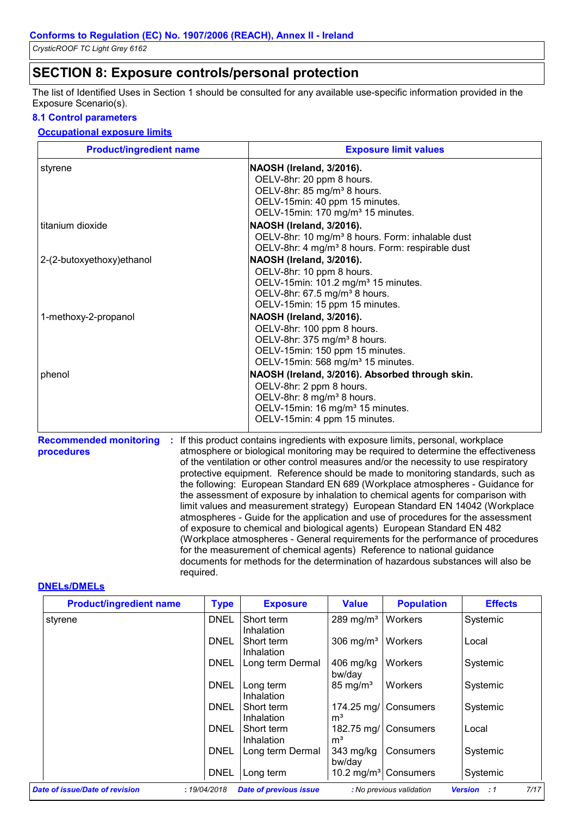### **SECTION 8: Exposure controls/personal protection**

The list of Identified Uses in Section 1 should be consulted for any available use-specific information provided in the Exposure Scenario(s).

#### **8.1 Control parameters**

#### **Occupational exposure limits**

| <b>Product/ingredient name</b> | <b>Exposure limit values</b>                                                                                                                                                                              |
|--------------------------------|-----------------------------------------------------------------------------------------------------------------------------------------------------------------------------------------------------------|
| styrene                        | NAOSH (Ireland, 3/2016).<br>OELV-8hr: 20 ppm 8 hours.<br>OELV-8hr: 85 mg/m <sup>3</sup> 8 hours.<br>OELV-15min: 40 ppm 15 minutes.                                                                        |
| titanium dioxide               | OELV-15min: 170 mg/m <sup>3</sup> 15 minutes.<br>NAOSH (Ireland, 3/2016).<br>OELV-8hr: 10 mg/m <sup>3</sup> 8 hours. Form: inhalable dust<br>OELV-8hr: 4 mg/m <sup>3</sup> 8 hours. Form: respirable dust |
| 2-(2-butoxyethoxy) ethanol     | NAOSH (Ireland, 3/2016).<br>OELV-8hr: 10 ppm 8 hours.<br>OELV-15min: 101.2 mg/m <sup>3</sup> 15 minutes.<br>OELV-8hr: 67.5 mg/m <sup>3</sup> 8 hours.<br>OELV-15min: 15 ppm 15 minutes.                   |
| 1-methoxy-2-propanol           | NAOSH (Ireland, 3/2016).<br>OELV-8hr: 100 ppm 8 hours.<br>OELV-8hr: 375 mg/m <sup>3</sup> 8 hours.<br>OELV-15min: 150 ppm 15 minutes.<br>OELV-15min: 568 mg/m <sup>3</sup> 15 minutes.                    |
| phenol                         | NAOSH (Ireland, 3/2016). Absorbed through skin.<br>OELV-8hr: 2 ppm 8 hours.<br>OELV-8hr: 8 mg/m <sup>3</sup> 8 hours.<br>OELV-15min: 16 mg/m <sup>3</sup> 15 minutes.<br>OELV-15min: 4 ppm 15 minutes.    |

**Recommended monitoring procedures :** If this product contains ingredients with exposure limits, personal, workplace atmosphere or biological monitoring may be required to determine the effectiveness of the ventilation or other control measures and/or the necessity to use respiratory protective equipment. Reference should be made to monitoring standards, such as the following: European Standard EN 689 (Workplace atmospheres - Guidance for the assessment of exposure by inhalation to chemical agents for comparison with limit values and measurement strategy) European Standard EN 14042 (Workplace atmospheres - Guide for the application and use of procedures for the assessment of exposure to chemical and biological agents) European Standard EN 482 (Workplace atmospheres - General requirements for the performance of procedures for the measurement of chemical agents) Reference to national guidance documents for methods for the determination of hazardous substances will also be required.

#### **DNELs/DMELs**

| <b>Product/ingredient name</b> | <b>Type</b> | <b>Exposure</b>               | <b>Value</b>        | <b>Population</b>                | <b>Effects</b>                |
|--------------------------------|-------------|-------------------------------|---------------------|----------------------------------|-------------------------------|
| styrene                        | <b>DNEL</b> | Short term<br>Inhalation      | 289 mg/ $m3$        | Workers                          | Systemic                      |
|                                | <b>DNEL</b> | Short term<br>Inhalation      | 306 mg/ $m3$        | Workers                          | Local                         |
|                                | <b>DNEL</b> | Long term Dermal              | 406 mg/kg<br>bw/day | Workers                          | Systemic                      |
|                                | <b>DNEL</b> | Long term<br>Inhalation       | $85 \text{ mg/m}^3$ | Workers                          | Systemic                      |
|                                | DNEL        | Short term<br>Inhalation      | mª                  | 174.25 mg/ Consumers             | Systemic                      |
|                                | <b>DNEL</b> | Short term<br>Inhalation      | 182.75 mg/<br>mª    | <b>Consumers</b>                 | Local                         |
|                                | <b>DNEL</b> | Long term Dermal              | 343 mg/kg<br>bw/day | Consumers                        | Systemic                      |
|                                | <b>DNEL</b> | Long term                     |                     | 10.2 mg/m <sup>3</sup> Consumers | Systemic                      |
| Date of issue/Date of revision | :19/04/2018 | <b>Date of previous issue</b> |                     | : No previous validation         | 7/17<br><b>Version</b><br>: 1 |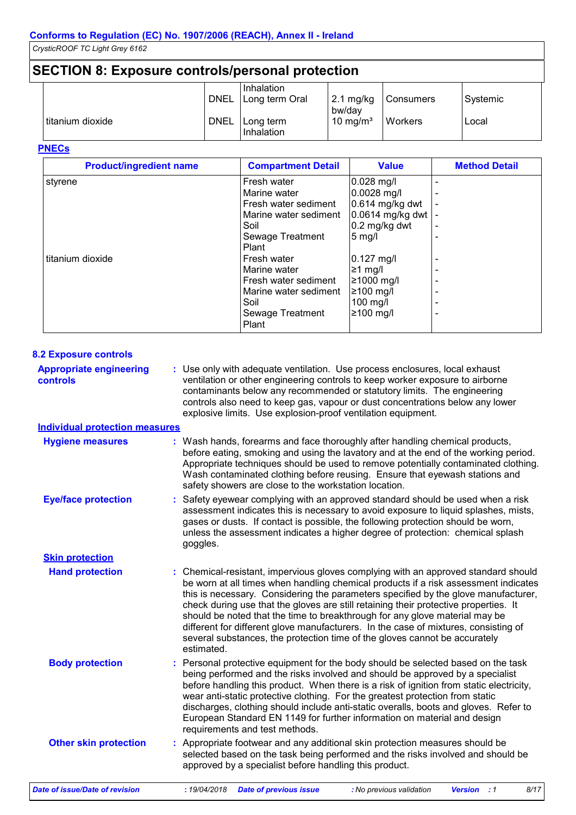### **SECTION 8: Exposure controls/personal protection**

|                  | <b>DNEL</b> | Inhalation<br>Long term Oral | $2.1 \text{ mg/kg}$<br>bw/day | Consumers | Systemic |
|------------------|-------------|------------------------------|-------------------------------|-----------|----------|
| titanium dioxide | <b>DNEL</b> | Long term<br>Inhalation      | 10 mg/m <sup>3</sup>          | Workers   | Local    |

#### **PNECs**

| <b>Product/ingredient name</b> | <b>Compartment Detail</b> | <b>Value</b>      | <b>Method Detail</b> |
|--------------------------------|---------------------------|-------------------|----------------------|
| styrene                        | Fresh water               | 0.028 mg/l        |                      |
|                                | Marine water              | 0.0028 mg/l       |                      |
|                                | Fresh water sediment      | $0.614$ mg/kg dwt |                      |
|                                | Marine water sediment     | 0.0614 mg/kg dwt  |                      |
|                                | Soil                      | 0.2 mg/kg dwt     |                      |
|                                | Sewage Treatment          | $5$ mg/l          |                      |
|                                | Plant                     |                   |                      |
| titanium dioxide               | Fresh water               | $0.127$ mg/l      |                      |
|                                | Marine water              | ≥1 mg/l           |                      |
|                                | Fresh water sediment      | ≥1000 mg/l        |                      |
|                                | Marine water sediment     | $≥100$ mg/l       |                      |
|                                | Soil                      | $100$ mg/l        |                      |
|                                | Sewage Treatment          | $≥100$ mg/l       |                      |
|                                | Plant                     |                   |                      |

| <b>8.2 Exposure controls</b>               |                                                                                                                                                                                                                                                                                                                                                                                                                                                                                                                                                                                                                           |  |  |  |  |
|--------------------------------------------|---------------------------------------------------------------------------------------------------------------------------------------------------------------------------------------------------------------------------------------------------------------------------------------------------------------------------------------------------------------------------------------------------------------------------------------------------------------------------------------------------------------------------------------------------------------------------------------------------------------------------|--|--|--|--|
| <b>Appropriate engineering</b><br>controls | : Use only with adequate ventilation. Use process enclosures, local exhaust<br>ventilation or other engineering controls to keep worker exposure to airborne<br>contaminants below any recommended or statutory limits. The engineering<br>controls also need to keep gas, vapour or dust concentrations below any lower<br>explosive limits. Use explosion-proof ventilation equipment.                                                                                                                                                                                                                                  |  |  |  |  |
| <b>Individual protection measures</b>      |                                                                                                                                                                                                                                                                                                                                                                                                                                                                                                                                                                                                                           |  |  |  |  |
| <b>Hygiene measures</b>                    | : Wash hands, forearms and face thoroughly after handling chemical products,<br>before eating, smoking and using the lavatory and at the end of the working period.<br>Appropriate techniques should be used to remove potentially contaminated clothing.<br>Wash contaminated clothing before reusing. Ensure that eyewash stations and<br>safety showers are close to the workstation location.                                                                                                                                                                                                                         |  |  |  |  |
| <b>Eye/face protection</b>                 | Safety eyewear complying with an approved standard should be used when a risk<br>assessment indicates this is necessary to avoid exposure to liquid splashes, mists,<br>gases or dusts. If contact is possible, the following protection should be worn,<br>unless the assessment indicates a higher degree of protection: chemical splash<br>goggles.                                                                                                                                                                                                                                                                    |  |  |  |  |
| <b>Skin protection</b>                     |                                                                                                                                                                                                                                                                                                                                                                                                                                                                                                                                                                                                                           |  |  |  |  |
| <b>Hand protection</b>                     | : Chemical-resistant, impervious gloves complying with an approved standard should<br>be worn at all times when handling chemical products if a risk assessment indicates<br>this is necessary. Considering the parameters specified by the glove manufacturer,<br>check during use that the gloves are still retaining their protective properties. It<br>should be noted that the time to breakthrough for any glove material may be<br>different for different glove manufacturers. In the case of mixtures, consisting of<br>several substances, the protection time of the gloves cannot be accurately<br>estimated. |  |  |  |  |
| <b>Body protection</b>                     | : Personal protective equipment for the body should be selected based on the task<br>being performed and the risks involved and should be approved by a specialist<br>before handling this product. When there is a risk of ignition from static electricity,<br>wear anti-static protective clothing. For the greatest protection from static<br>discharges, clothing should include anti-static overalls, boots and gloves. Refer to<br>European Standard EN 1149 for further information on material and design<br>requirements and test methods.                                                                      |  |  |  |  |
| <b>Other skin protection</b>               | : Appropriate footwear and any additional skin protection measures should be<br>selected based on the task being performed and the risks involved and should be<br>approved by a specialist before handling this product.                                                                                                                                                                                                                                                                                                                                                                                                 |  |  |  |  |
| Date of issue/Date of revision             | :19/04/2018<br><b>Date of previous issue</b><br><b>Version</b> : 1<br>8/17<br>: No previous validation                                                                                                                                                                                                                                                                                                                                                                                                                                                                                                                    |  |  |  |  |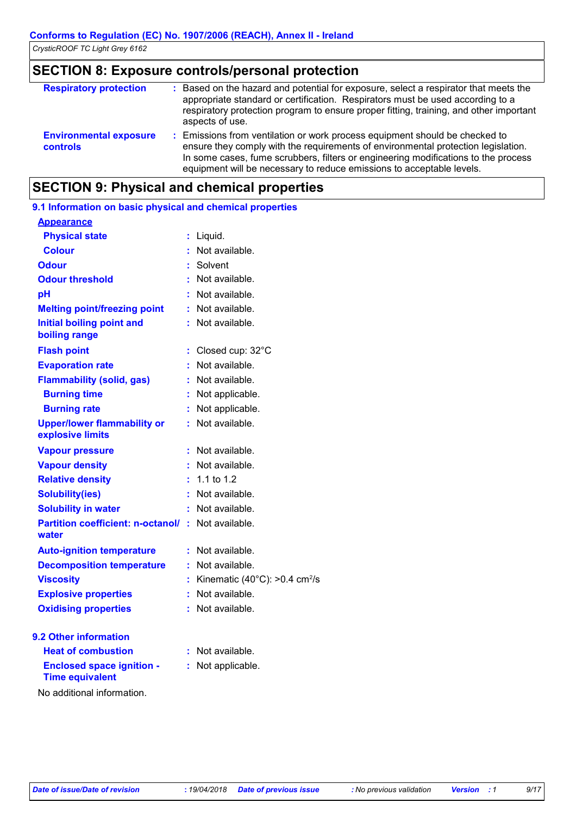### **SECTION 8: Exposure controls/personal protection**

| <b>Respiratory protection</b>                    | : Based on the hazard and potential for exposure, select a respirator that meets the<br>appropriate standard or certification. Respirators must be used according to a<br>respiratory protection program to ensure proper fitting, training, and other important<br>aspects of use.                                             |
|--------------------------------------------------|---------------------------------------------------------------------------------------------------------------------------------------------------------------------------------------------------------------------------------------------------------------------------------------------------------------------------------|
| <b>Environmental exposure</b><br><b>controls</b> | : Emissions from ventilation or work process equipment should be checked to<br>ensure they comply with the requirements of environmental protection legislation.<br>In some cases, fume scrubbers, filters or engineering modifications to the process<br>equipment will be necessary to reduce emissions to acceptable levels. |

### **SECTION 9: Physical and chemical properties**

| 9.1 Information on basic physical and chemical properties  |    |                                                      |
|------------------------------------------------------------|----|------------------------------------------------------|
| <b>Appearance</b>                                          |    |                                                      |
| <b>Physical state</b>                                      | t. | Liquid.                                              |
| <b>Colour</b>                                              | t  | Not available.                                       |
| <b>Odour</b>                                               |    | Solvent                                              |
| <b>Odour threshold</b>                                     | ŧ. | Not available.                                       |
| pH                                                         |    | Not available.                                       |
| <b>Melting point/freezing point</b>                        | ÷. | Not available.                                       |
| <b>Initial boiling point and</b><br>boiling range          |    | : Not available.                                     |
| <b>Flash point</b>                                         | t. | Closed cup: 32°C                                     |
| <b>Evaporation rate</b>                                    |    | Not available.                                       |
| <b>Flammability (solid, gas)</b>                           | t. | Not available.                                       |
| <b>Burning time</b>                                        | t  | Not applicable.                                      |
| <b>Burning rate</b>                                        | t  | Not applicable.                                      |
| <b>Upper/lower flammability or</b><br>explosive limits     | ÷. | Not available.                                       |
| <b>Vapour pressure</b>                                     |    | Not available.                                       |
| <b>Vapour density</b>                                      |    | Not available.                                       |
| <b>Relative density</b>                                    | t. | 1.1 to 1.2                                           |
| <b>Solubility(ies)</b>                                     | t. | Not available.                                       |
| <b>Solubility in water</b>                                 | ŧ. | Not available.                                       |
| <b>Partition coefficient: n-octanol/</b><br>water          |    | : Not available.                                     |
| <b>Auto-ignition temperature</b>                           | ÷. | Not available.                                       |
| <b>Decomposition temperature</b>                           | t. | Not available.                                       |
| <b>Viscosity</b>                                           | t  | Kinematic (40 $^{\circ}$ C): >0.4 cm <sup>2</sup> /s |
| <b>Explosive properties</b>                                |    | Not available.                                       |
| <b>Oxidising properties</b>                                |    | Not available.                                       |
| <b>9.2 Other information</b>                               |    |                                                      |
| <b>Heat of combustion</b>                                  |    | Not available.                                       |
| <b>Enclosed space ignition -</b><br><b>Time equivalent</b> | t. | Not applicable.                                      |
| the property of the control of the con-                    |    |                                                      |

No additional information.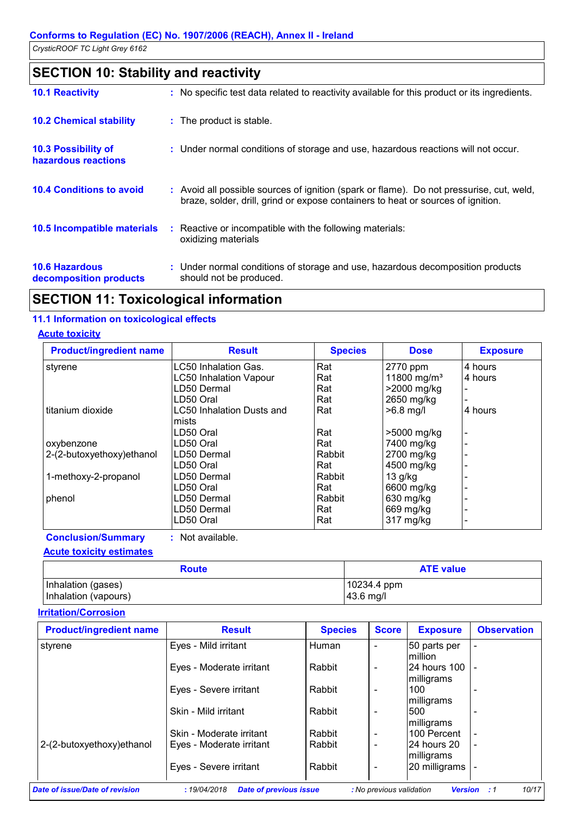## **SECTION 10: Stability and reactivity**

| <b>10.1 Reactivity</b>                            | : No specific test data related to reactivity available for this product or its ingredients.                                                                                 |
|---------------------------------------------------|------------------------------------------------------------------------------------------------------------------------------------------------------------------------------|
| <b>10.2 Chemical stability</b>                    | : The product is stable.                                                                                                                                                     |
| <b>10.3 Possibility of</b><br>hazardous reactions | : Under normal conditions of storage and use, hazardous reactions will not occur.                                                                                            |
| <b>10.4 Conditions to avoid</b>                   | : Avoid all possible sources of ignition (spark or flame). Do not pressurise, cut, weld,<br>braze, solder, drill, grind or expose containers to heat or sources of ignition. |
| 10.5 Incompatible materials                       | : Reactive or incompatible with the following materials:<br>oxidizing materials                                                                                              |
| <b>10.6 Hazardous</b><br>decomposition products   | : Under normal conditions of storage and use, hazardous decomposition products<br>should not be produced.                                                                    |

### **SECTION 11: Toxicological information**

#### **11.1 Information on toxicological effects**

#### **Acute toxicity**

| <b>Product/ingredient name</b> | <b>Result</b>                    | <b>Species</b> | <b>Dose</b>             | <b>Exposure</b> |
|--------------------------------|----------------------------------|----------------|-------------------------|-----------------|
| styrene                        | LC50 Inhalation Gas.             | Rat            | 2770 ppm                | 4 hours         |
|                                | <b>LC50 Inhalation Vapour</b>    | Rat            | 11800 mg/m <sup>3</sup> | 4 hours         |
|                                | LD50 Dermal                      | Rat            | >2000 mg/kg             |                 |
|                                | LD50 Oral                        | Rat            | 2650 mg/kg              |                 |
| Ititanium dioxide              | <b>LC50 Inhalation Dusts and</b> | Rat            | $>6.8$ mg/l             | 4 hours         |
|                                | mists                            |                |                         |                 |
|                                | LD50 Oral                        | Rat            | >5000 mg/kg             |                 |
| oxybenzone                     | LD50 Oral                        | Rat            | 7400 mg/kg              |                 |
| 2-(2-butoxyethoxy) ethanol     | LD50 Dermal                      | Rabbit         | 2700 mg/kg              |                 |
|                                | LD50 Oral                        | Rat            | 4500 mg/kg              |                 |
| 1-methoxy-2-propanol           | LD50 Dermal                      | Rabbit         | $13$ g/kg               |                 |
|                                | LD50 Oral                        | Rat            | 6600 mg/kg              |                 |
| phenol                         | LD50 Dermal                      | Rabbit         | 630 mg/kg               |                 |
|                                | LD50 Dermal                      | Rat            | 669 mg/kg               |                 |
|                                | LD50 Oral                        | Rat            | 317 mg/kg               |                 |

**Conclusion/Summary :** Not available.

**Acute toxicity estimates**

| <b>Route</b>         | <b>ATE value</b> |  |  |
|----------------------|------------------|--|--|
| Inhalation (gases)   | 10234.4 ppm      |  |  |
| Inhalation (vapours) | 43.6 mg/l        |  |  |

#### **Irritation/Corrosion**

| <b>Product/ingredient name</b> | <b>Result</b>            | <b>Species</b> | <b>Score</b> | <b>Exposure</b>                 | <b>Observation</b> |
|--------------------------------|--------------------------|----------------|--------------|---------------------------------|--------------------|
| styrene                        | Eyes - Mild irritant     | Human          |              | 50 parts per<br><b>Imillion</b> |                    |
|                                | Eyes - Moderate irritant | Rabbit         |              | l24 hours 100<br>milligrams     |                    |
|                                | Eyes - Severe irritant   | Rabbit         |              | 100<br>milligrams               |                    |
|                                | Skin - Mild irritant     | Rabbit         |              | 500<br>milligrams               |                    |
|                                | Skin - Moderate irritant | Rabbit         |              | 100 Percent                     |                    |
| 2-(2-butoxyethoxy)ethanol      | Eyes - Moderate irritant | Rabbit         |              | 24 hours 20<br>milligrams       |                    |
|                                | Eyes - Severe irritant   | Rabbit         |              | 20 milligrams                   |                    |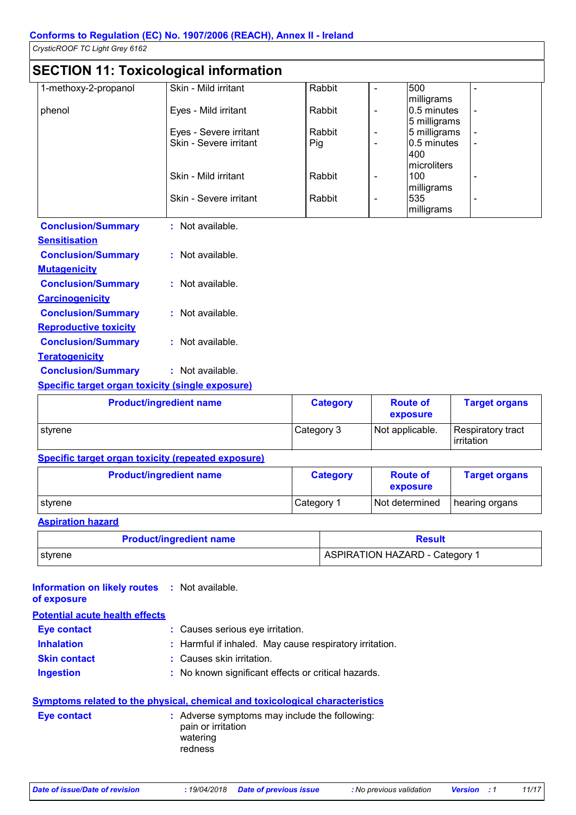## **SECTION 11: Toxicological information**

|                           | $\overline{\phantom{a}}$ . The contract of the contract of the contract of the contract of the contract of the contract of the contract of the contract of the contract of the contract of the contract of the contract of the contract of |        |                          |              |  |
|---------------------------|--------------------------------------------------------------------------------------------------------------------------------------------------------------------------------------------------------------------------------------------|--------|--------------------------|--------------|--|
| 1-methoxy-2-propanol      | Skin - Mild irritant                                                                                                                                                                                                                       | Rabbit |                          | 500          |  |
|                           |                                                                                                                                                                                                                                            |        |                          | milligrams   |  |
| phenol                    | Eyes - Mild irritant                                                                                                                                                                                                                       | Rabbit | $\overline{\phantom{a}}$ | 0.5 minutes  |  |
|                           |                                                                                                                                                                                                                                            |        |                          | 5 milligrams |  |
|                           | Eyes - Severe irritant                                                                                                                                                                                                                     | Rabbit |                          | 5 milligrams |  |
|                           | Skin - Severe irritant                                                                                                                                                                                                                     | Pig    |                          | 0.5 minutes  |  |
|                           |                                                                                                                                                                                                                                            |        |                          | 400          |  |
|                           |                                                                                                                                                                                                                                            |        |                          | microliters  |  |
|                           | Skin - Mild irritant                                                                                                                                                                                                                       | Rabbit |                          | 100          |  |
|                           |                                                                                                                                                                                                                                            |        |                          | milligrams   |  |
|                           | Skin - Severe irritant                                                                                                                                                                                                                     | Rabbit |                          | 535          |  |
|                           |                                                                                                                                                                                                                                            |        |                          | milligrams   |  |
| <b>Conclusion/Summary</b> | : Not available.                                                                                                                                                                                                                           |        |                          |              |  |
| <b>Sensitisation</b>      |                                                                                                                                                                                                                                            |        |                          |              |  |
| <b>Conclusion/Summary</b> | : Not available.                                                                                                                                                                                                                           |        |                          |              |  |
| <b>Mutagenicity</b>       |                                                                                                                                                                                                                                            |        |                          |              |  |

| <b>Conclusion/Summary</b>    | : Not available.   |
|------------------------------|--------------------|
| <b>Carcinogenicity</b>       |                    |
| <b>Conclusion/Summary</b>    | : Not available.   |
| <b>Reproductive toxicity</b> |                    |
| <b>Conclusion/Summary</b>    | $:$ Not available. |
| <b>Teratogenicity</b>        |                    |

## **Conclusion/Summary :** Not available.

### **Specific target organ toxicity (single exposure)**

| <b>Product/ingredient name</b> | <b>Category</b> | <b>Route of</b><br>exposure | <b>Target organs</b>              |
|--------------------------------|-----------------|-----------------------------|-----------------------------------|
| I stvrene                      | Category 3      | Not applicable.             | Respiratory tract<br>l irritation |

#### **Specific target organ toxicity (repeated exposure)**

| <b>Product/ingredient name</b> | <b>Category</b> | <b>Route of</b><br>exposure | <b>Target organs</b> |
|--------------------------------|-----------------|-----------------------------|----------------------|
| ∣styrene                       | Category 1      | Not determined              | hearing organs       |

#### **Aspiration hazard**

| <b>Product/ingredient name</b> | <b>Result</b>                         |
|--------------------------------|---------------------------------------|
| I styrene                      | <b>ASPIRATION HAZARD - Category 1</b> |

| <b>Information on likely routes : Not available.</b><br>of exposure |                                                                                     |
|---------------------------------------------------------------------|-------------------------------------------------------------------------------------|
| <b>Potential acute health effects</b>                               |                                                                                     |
| Eye contact                                                         | : Causes serious eye irritation.                                                    |
| <b>Inhalation</b>                                                   | : Harmful if inhaled. May cause respiratory irritation.                             |
| <b>Skin contact</b>                                                 | : Causes skin irritation.                                                           |
| <b>Ingestion</b>                                                    | : No known significant effects or critical hazards.                                 |
|                                                                     | <b>Symptoms related to the physical, chemical and toxicological characteristics</b> |
| <b>Eve contact</b>                                                  | $:$ Adverse symptoms may include the following:                                     |

| Eye contact | : Adverse symptoms may include the following:<br>pain or irritation<br>watering<br>redness |
|-------------|--------------------------------------------------------------------------------------------|
|             |                                                                                            |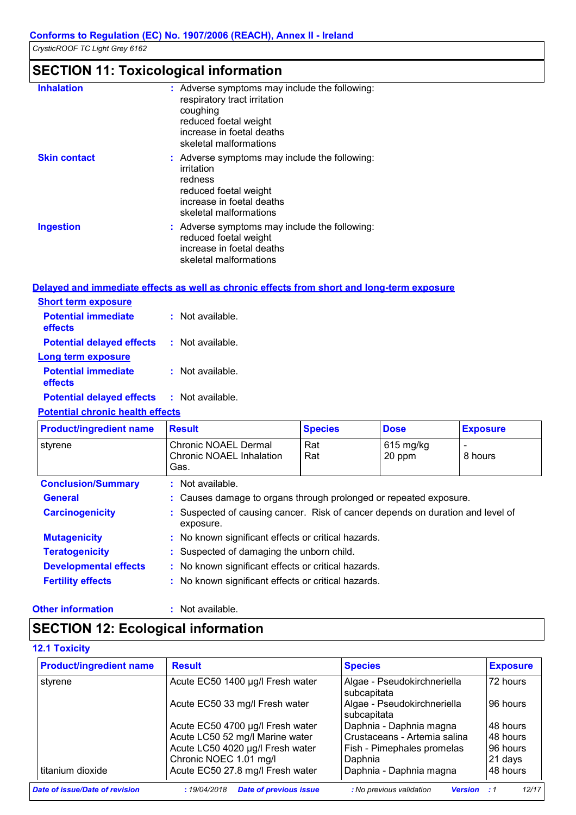### **SECTION 11: Toxicological information**

| <b>Inhalation</b>   | : Adverse symptoms may include the following:<br>respiratory tract irritation<br>coughing<br>reduced foetal weight<br>increase in foetal deaths<br>skeletal malformations |
|---------------------|---------------------------------------------------------------------------------------------------------------------------------------------------------------------------|
| <b>Skin contact</b> | : Adverse symptoms may include the following:<br>irritation<br>redness<br>reduced foetal weight<br>increase in foetal deaths<br>skeletal malformations                    |
| <b>Ingestion</b>    | : Adverse symptoms may include the following:<br>reduced foetal weight<br>increase in foetal deaths<br>skeletal malformations                                             |

#### **Delayed and immediate effects as well as chronic effects from short and long-term exposure Short term exposure Long term exposure Potential immediate effects Potential delayed effects : :** Not available. **Potential immediate :** Not available. : Not available.

**effects Potential delayed effects :** Not available.

#### **Potential chronic health effects**

| <b>Product/ingredient name</b> | <b>Result</b>                                                                               | <b>Species</b>                                                    | <b>Dose</b>           | <b>Exposure</b> |  |
|--------------------------------|---------------------------------------------------------------------------------------------|-------------------------------------------------------------------|-----------------------|-----------------|--|
| styrene                        | Chronic NOAEL Dermal<br>Chronic NOAEL Inhalation<br>Gas.                                    | Rat<br>Rat                                                        | $615$ mg/kg<br>20 ppm | 8 hours         |  |
| <b>Conclusion/Summary</b>      | : Not available.                                                                            |                                                                   |                       |                 |  |
| <b>General</b>                 |                                                                                             | : Causes damage to organs through prolonged or repeated exposure. |                       |                 |  |
| <b>Carcinogenicity</b>         | : Suspected of causing cancer. Risk of cancer depends on duration and level of<br>exposure. |                                                                   |                       |                 |  |
| <b>Mutagenicity</b>            | : No known significant effects or critical hazards.                                         |                                                                   |                       |                 |  |
| <b>Teratogenicity</b>          | : Suspected of damaging the unborn child.                                                   |                                                                   |                       |                 |  |
| <b>Developmental effects</b>   | : No known significant effects or critical hazards.                                         |                                                                   |                       |                 |  |
| <b>Fertility effects</b>       | : No known significant effects or critical hazards.                                         |                                                                   |                       |                 |  |

#### **Other information :** : Not available.

### **SECTION 12: Ecological information**

#### **12.1 Toxicity**

| <b>Product/ingredient name</b> | <b>Result</b>                                | <b>Species</b>                             | <b>Exposure</b> |
|--------------------------------|----------------------------------------------|--------------------------------------------|-----------------|
| styrene                        | Acute EC50 1400 µg/l Fresh water             | Algae - Pseudokirchneriella<br>subcapitata | 72 hours        |
|                                | Acute EC50 33 mg/l Fresh water               | Algae - Pseudokirchneriella<br>subcapitata | 96 hours        |
|                                | Acute EC50 4700 µg/l Fresh water             | Daphnia - Daphnia magna                    | 48 hours        |
|                                | Acute LC50 52 mg/l Marine water              | Crustaceans - Artemia salina               | 48 hours        |
|                                | Acute LC50 4020 µg/l Fresh water             | Fish - Pimephales promelas                 | 196 hours       |
|                                | Chronic NOEC 1.01 mg/l                       | Daphnia                                    | 21 days         |
| titanium dioxide               | Acute EC50 27.8 mg/l Fresh water             | Daphnia - Daphnia magna                    | 48 hours        |
| Date of issue/Date of revision | <b>Date of previous issue</b><br>:19/04/2018 | : No previous validation<br><b>Version</b> | 12/17<br>- 1    |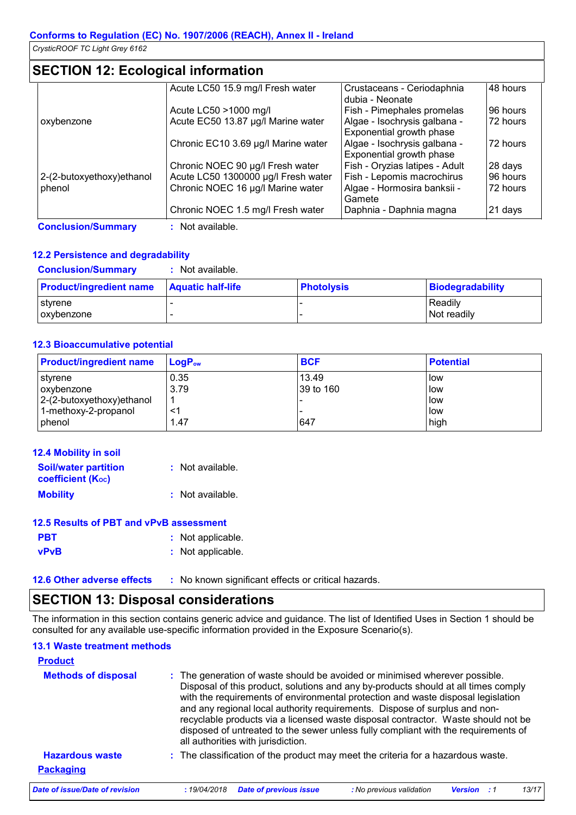### **SECTION 12: Ecological information**

|                            | Acute LC50 15.9 mg/l Fresh water    | Crustaceans - Ceriodaphnia     | 48 hours |
|----------------------------|-------------------------------------|--------------------------------|----------|
|                            |                                     | dubia - Neonate                |          |
|                            | Acute LC50 >1000 mg/l               | Fish - Pimephales promelas     | 96 hours |
| oxybenzone                 | Acute EC50 13.87 µg/l Marine water  | Algae - Isochrysis galbana -   | 72 hours |
|                            |                                     | Exponential growth phase       |          |
|                            | Chronic EC10 3.69 µg/l Marine water | Algae - Isochrysis galbana -   | 72 hours |
|                            |                                     | Exponential growth phase       |          |
|                            | Chronic NOEC 90 µg/l Fresh water    | Fish - Oryzias latipes - Adult | 28 days  |
| 2-(2-butoxyethoxy) ethanol | Acute LC50 1300000 µg/l Fresh water | Fish - Lepomis macrochirus     | 96 hours |
| phenol                     | Chronic NOEC 16 µg/l Marine water   | Algae - Hormosira banksii -    | 72 hours |
|                            |                                     | Gamete                         |          |
|                            | Chronic NOEC 1.5 mg/l Fresh water   | Daphnia - Daphnia magna        | 21 days  |
| <b>Conclusion/Summary</b>  | Not available.                      |                                |          |

#### **12.2 Persistence and degradability**

**Conclusion/Summary :** Not available.

| <b>Product/ingredient name</b> | <b>Aquatic half-life</b> | <b>Photolysis</b> | Biodegradability |
|--------------------------------|--------------------------|-------------------|------------------|
| l stvrene                      |                          |                   | Readily          |
| l oxvbenzone                   |                          |                   | I Not readilv    |

#### **12.3 Bioaccumulative potential**

| <b>Product/ingredient name</b> | $ $ Loa $P_{\text{ow}}$ | <b>BCF</b> | <b>Potential</b> |
|--------------------------------|-------------------------|------------|------------------|
| styrene                        | 0.35                    | 13.49      | low              |
| oxybenzone                     | 3.79                    | 39 to 160  | low              |
| 2-(2-butoxyethoxy)ethanol      |                         |            | low              |
| 1-methoxy-2-propanol           | <'                      |            | low              |
| phenol                         | 1.47                    | 647        | high             |

| 12.4 Mobility in soil                                 |                  |
|-------------------------------------------------------|------------------|
| <b>Soil/water partition</b><br>coefficient $(K_{oc})$ | : Not available. |
| <b>Mobility</b>                                       | : Not available. |

| 12.5 Results of PBT and vPvB assessment |
|-----------------------------------------|
|                                         |

| <b>PBT</b> | : Not applicable. |  |
|------------|-------------------|--|
| vPvB       | : Not applicable. |  |

**12.6 Other adverse effects** : No known significant effects or critical hazards.

### **SECTION 13: Disposal considerations**

The information in this section contains generic advice and guidance. The list of Identified Uses in Section 1 should be consulted for any available use-specific information provided in the Exposure Scenario(s).

#### **13.1 Waste treatment methods**

| <b>Product</b>                             |                                                                                                                                                                                                                                                                                                                                                                                                                                                                                                                                                      |
|--------------------------------------------|------------------------------------------------------------------------------------------------------------------------------------------------------------------------------------------------------------------------------------------------------------------------------------------------------------------------------------------------------------------------------------------------------------------------------------------------------------------------------------------------------------------------------------------------------|
| <b>Methods of disposal</b>                 | : The generation of waste should be avoided or minimised wherever possible.<br>Disposal of this product, solutions and any by-products should at all times comply<br>with the requirements of environmental protection and waste disposal legislation<br>and any regional local authority requirements. Dispose of surplus and non-<br>recyclable products via a licensed waste disposal contractor. Waste should not be<br>disposed of untreated to the sewer unless fully compliant with the requirements of<br>all authorities with jurisdiction. |
| <b>Hazardous waste</b><br><b>Packaging</b> | : The classification of the product may meet the criteria for a hazardous waste.                                                                                                                                                                                                                                                                                                                                                                                                                                                                     |
| Date of issue/Date of revision             | <b>Date of previous issue</b><br>: No previous validation<br>13/17<br>:19/04/2018<br><b>Version</b>                                                                                                                                                                                                                                                                                                                                                                                                                                                  |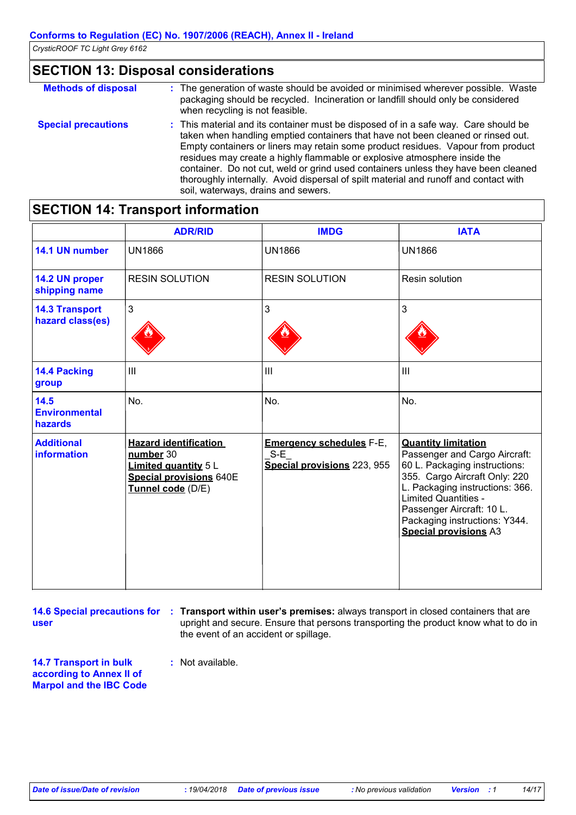### **SECTION 13: Disposal considerations**

| <b>Methods of disposal</b> | : The generation of waste should be avoided or minimised wherever possible. Waste<br>packaging should be recycled. Incineration or landfill should only be considered<br>when recycling is not feasible.                                                                                                                                                                                                                                                                                                                                                      |
|----------------------------|---------------------------------------------------------------------------------------------------------------------------------------------------------------------------------------------------------------------------------------------------------------------------------------------------------------------------------------------------------------------------------------------------------------------------------------------------------------------------------------------------------------------------------------------------------------|
| <b>Special precautions</b> | : This material and its container must be disposed of in a safe way. Care should be<br>taken when handling emptied containers that have not been cleaned or rinsed out.<br>Empty containers or liners may retain some product residues. Vapour from product<br>residues may create a highly flammable or explosive atmosphere inside the<br>container. Do not cut, weld or grind used containers unless they have been cleaned<br>thoroughly internally. Avoid dispersal of spilt material and runoff and contact with<br>soil, waterways, drains and sewers. |

### **SECTION 14: Transport information**

|                                           | <b>ADR/RID</b>                                                                                                                  | <b>IMDG</b>                                                             | <b>IATA</b>                                                                                                                                                                                                                                                                                   |
|-------------------------------------------|---------------------------------------------------------------------------------------------------------------------------------|-------------------------------------------------------------------------|-----------------------------------------------------------------------------------------------------------------------------------------------------------------------------------------------------------------------------------------------------------------------------------------------|
| 14.1 UN number                            | <b>UN1866</b>                                                                                                                   | <b>UN1866</b>                                                           | <b>UN1866</b>                                                                                                                                                                                                                                                                                 |
| 14.2 UN proper<br>shipping name           | <b>RESIN SOLUTION</b>                                                                                                           | <b>RESIN SOLUTION</b>                                                   | Resin solution                                                                                                                                                                                                                                                                                |
| <b>14.3 Transport</b><br>hazard class(es) | $\mathbf{3}$                                                                                                                    | 3                                                                       | 3                                                                                                                                                                                                                                                                                             |
| 14.4 Packing<br>group                     | $\mathbf{III}$                                                                                                                  | III                                                                     | $\mathbf{III}$                                                                                                                                                                                                                                                                                |
| 14.5<br><b>Environmental</b><br>hazards   | No.                                                                                                                             | No.                                                                     | No.                                                                                                                                                                                                                                                                                           |
| <b>Additional</b><br><b>information</b>   | <b>Hazard identification</b><br>number 30<br><b>Limited quantity 5 L</b><br><b>Special provisions 640E</b><br>Tunnel code (D/E) | <b>Emergency schedules F-E,</b><br>$S-E$<br>Special provisions 223, 955 | <b>Quantity limitation</b><br>Passenger and Cargo Aircraft:<br>60 L. Packaging instructions:<br>355. Cargo Aircraft Only: 220<br>L. Packaging instructions: 366.<br><b>Limited Quantities -</b><br>Passenger Aircraft: 10 L.<br>Packaging instructions: Y344.<br><b>Special provisions A3</b> |

**user**

**14.6 Special precautions for : Transport within user's premises: always transport in closed containers that are** upright and secure. Ensure that persons transporting the product know what to do in the event of an accident or spillage.

**14.7 Transport in bulk according to Annex II of Marpol and the IBC Code**

**:** Not available.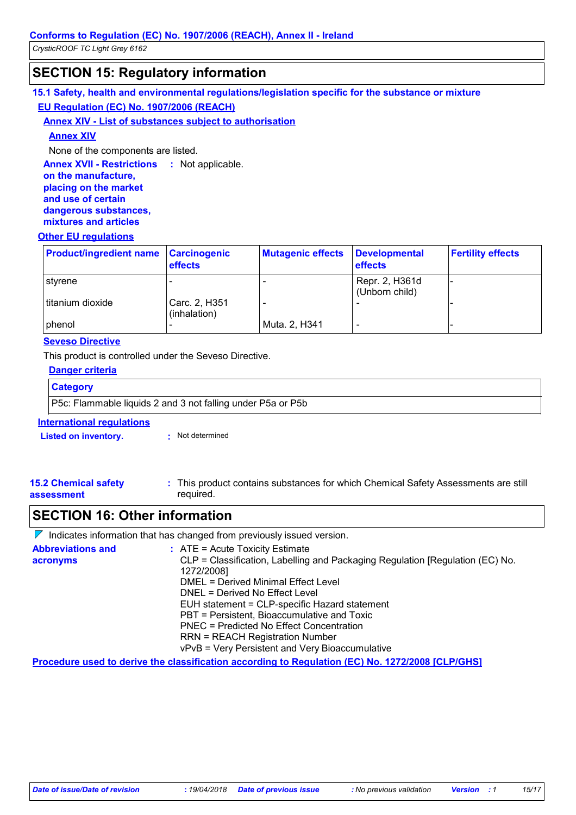### **SECTION 15: Regulatory information**

**15.1 Safety, health and environmental regulations/legislation specific for the substance or mixture EU Regulation (EC) No. 1907/2006 (REACH)**

#### **Annex XIV - List of substances subject to authorisation**

#### **Annex XIV**

None of the components are listed.

**Annex XVII - Restrictions : Not applicable.** 

#### **on the manufacture, placing on the market and use of certain dangerous substances, mixtures and articles**

#### **Other EU regulations**

| <b>Product/ingredient name Carcinogenic</b> | <b>effects</b>                | <b>Mutagenic effects</b> | Developmental<br>effects         | <b>Fertility effects</b> |
|---------------------------------------------|-------------------------------|--------------------------|----------------------------------|--------------------------|
| styrene                                     |                               |                          | Repr. 2, H361d<br>(Unborn child) |                          |
| titanium dioxide                            | Carc. 2, H351<br>(inhalation) |                          |                                  |                          |
| <b>I</b> phenol                             |                               | Muta. 2, H341            |                                  |                          |

#### **Seveso Directive**

This product is controlled under the Seveso Directive.

| Danger criteria                  |                                                             |  |
|----------------------------------|-------------------------------------------------------------|--|
| <b>Category</b>                  |                                                             |  |
|                                  | P5c: Flammable liquids 2 and 3 not falling under P5a or P5b |  |
| <b>International requlations</b> |                                                             |  |
| <b>Listed on inventory.</b>      | Not determined<br><b>COL</b>                                |  |
|                                  |                                                             |  |

#### **15.2 Chemical safety assessment** This product contains substances for which Chemical Safety Assessments are still **:** required.

### **SECTION 16: Other information**

 $\nabla$  Indicates information that has changed from previously issued version.

| <b>Abbreviations and</b> | $:$ ATE = Acute Toxicity Estimate                                             |
|--------------------------|-------------------------------------------------------------------------------|
| acronyms                 | CLP = Classification, Labelling and Packaging Regulation [Regulation (EC) No. |
|                          | 1272/2008]                                                                    |
|                          | DMEL = Derived Minimal Effect Level                                           |
|                          | DNEL = Derived No Effect Level                                                |
|                          | EUH statement = CLP-specific Hazard statement                                 |
|                          | PBT = Persistent, Bioaccumulative and Toxic                                   |
|                          | PNEC = Predicted No Effect Concentration                                      |
|                          | <b>RRN = REACH Registration Number</b>                                        |
|                          | vPvB = Very Persistent and Very Bioaccumulative                               |
|                          |                                                                               |

**Procedure used to derive the classification according to Regulation (EC) No. 1272/2008 [CLP/GHS]**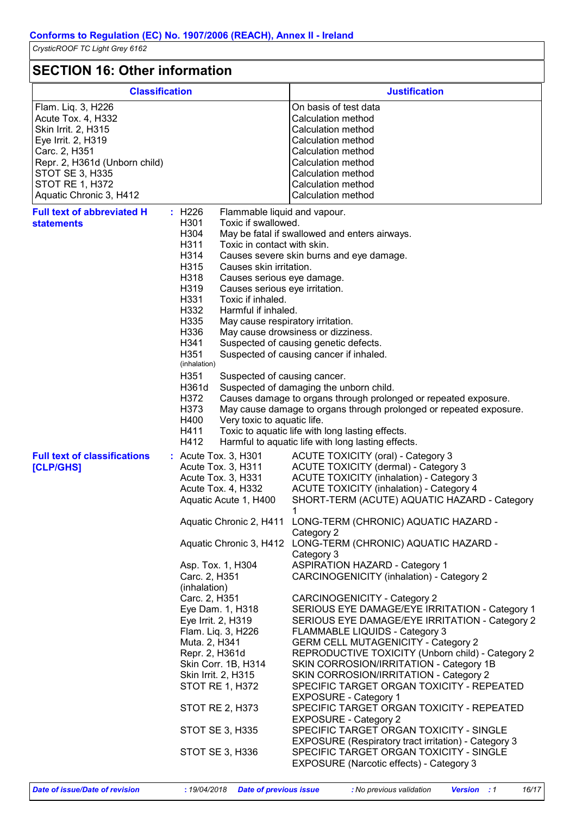### **SECTION 16: Other information**

| ווטווומנוטווו שנוופו ווווטווומנוטוו                                                                                                                                                                                    |                                                                                                                                                                                                                                                                                                                                                                                                                                                 |                                                                                                                                                                                                                                                                                                                                                                                                                                                                                                                                                                                                                                                                                                                                                                                                                                                                   |  |
|------------------------------------------------------------------------------------------------------------------------------------------------------------------------------------------------------------------------|-------------------------------------------------------------------------------------------------------------------------------------------------------------------------------------------------------------------------------------------------------------------------------------------------------------------------------------------------------------------------------------------------------------------------------------------------|-------------------------------------------------------------------------------------------------------------------------------------------------------------------------------------------------------------------------------------------------------------------------------------------------------------------------------------------------------------------------------------------------------------------------------------------------------------------------------------------------------------------------------------------------------------------------------------------------------------------------------------------------------------------------------------------------------------------------------------------------------------------------------------------------------------------------------------------------------------------|--|
| <b>Classification</b>                                                                                                                                                                                                  |                                                                                                                                                                                                                                                                                                                                                                                                                                                 | <b>Justification</b>                                                                                                                                                                                                                                                                                                                                                                                                                                                                                                                                                                                                                                                                                                                                                                                                                                              |  |
| Flam. Liq. 3, H226<br>Acute Tox. 4, H332<br>Skin Irrit. 2, H315<br>Eye Irrit. 2, H319<br>Carc. 2, H351<br>Repr. 2, H361d (Unborn child)<br><b>STOT SE 3, H335</b><br><b>STOT RE 1, H372</b><br>Aquatic Chronic 3, H412 |                                                                                                                                                                                                                                                                                                                                                                                                                                                 | On basis of test data<br>Calculation method<br>Calculation method<br>Calculation method<br>Calculation method<br>Calculation method<br>Calculation method<br>Calculation method<br><b>Calculation method</b>                                                                                                                                                                                                                                                                                                                                                                                                                                                                                                                                                                                                                                                      |  |
| <b>Full text of abbreviated H</b><br><b>statements</b>                                                                                                                                                                 | : H226<br>Flammable liquid and vapour.<br>H301<br>Toxic if swallowed.                                                                                                                                                                                                                                                                                                                                                                           |                                                                                                                                                                                                                                                                                                                                                                                                                                                                                                                                                                                                                                                                                                                                                                                                                                                                   |  |
|                                                                                                                                                                                                                        | H304<br>H311<br>Toxic in contact with skin.<br>H314<br>H315<br>Causes skin irritation.<br>H318<br>Causes serious eye damage.<br>H319<br>Causes serious eye irritation.<br>H331<br>Toxic if inhaled.<br>H332<br>Harmful if inhaled.<br>H335<br>May cause respiratory irritation.<br>H336<br>H341<br>H351<br>(inhalation)<br>H351<br>Suspected of causing cancer.<br>H361d<br>H372<br>H373<br>H400<br>Very toxic to aquatic life.<br>H411<br>H412 | May be fatal if swallowed and enters airways.<br>Causes severe skin burns and eye damage.<br>May cause drowsiness or dizziness.<br>Suspected of causing genetic defects.<br>Suspected of causing cancer if inhaled.<br>Suspected of damaging the unborn child.<br>Causes damage to organs through prolonged or repeated exposure.<br>May cause damage to organs through prolonged or repeated exposure.<br>Toxic to aquatic life with long lasting effects.<br>Harmful to aquatic life with long lasting effects.                                                                                                                                                                                                                                                                                                                                                 |  |
| <b>Full text of classifications</b><br>[CLP/GHS]                                                                                                                                                                       | : Acute Tox. 3, H301<br>Acute Tox. 3, H311<br>Acute Tox. 3, H331<br>Acute Tox. 4, H332<br>Aquatic Acute 1, H400                                                                                                                                                                                                                                                                                                                                 | ACUTE TOXICITY (oral) - Category 3<br><b>ACUTE TOXICITY (dermal) - Category 3</b><br><b>ACUTE TOXICITY (inhalation) - Category 3</b><br><b>ACUTE TOXICITY (inhalation) - Category 4</b><br>SHORT-TERM (ACUTE) AQUATIC HAZARD - Category                                                                                                                                                                                                                                                                                                                                                                                                                                                                                                                                                                                                                           |  |
|                                                                                                                                                                                                                        |                                                                                                                                                                                                                                                                                                                                                                                                                                                 | Aquatic Chronic 2, H411 LONG-TERM (CHRONIC) AQUATIC HAZARD -<br>Category 2                                                                                                                                                                                                                                                                                                                                                                                                                                                                                                                                                                                                                                                                                                                                                                                        |  |
|                                                                                                                                                                                                                        | Aquatic Chronic 3, H412<br>Asp. Tox. 1, H304<br>Carc. 2, H351<br>(inhalation)<br>Carc. 2, H351<br>Eye Dam. 1, H318<br>Eye Irrit. 2, H319<br>Flam. Liq. 3, H226<br>Muta. 2, H341<br>Repr. 2, H361d<br>Skin Corr. 1B, H314<br>Skin Irrit. 2, H315<br>STOT RE 1, H372<br>STOT RE 2, H373<br>STOT SE 3, H335<br>STOT SE 3, H336                                                                                                                     | LONG-TERM (CHRONIC) AQUATIC HAZARD -<br>Category 3<br><b>ASPIRATION HAZARD - Category 1</b><br>CARCINOGENICITY (inhalation) - Category 2<br><b>CARCINOGENICITY - Category 2</b><br>SERIOUS EYE DAMAGE/EYE IRRITATION - Category 1<br>SERIOUS EYE DAMAGE/EYE IRRITATION - Category 2<br>FLAMMABLE LIQUIDS - Category 3<br><b>GERM CELL MUTAGENICITY - Category 2</b><br>REPRODUCTIVE TOXICITY (Unborn child) - Category 2<br>SKIN CORROSION/IRRITATION - Category 1B<br>SKIN CORROSION/IRRITATION - Category 2<br>SPECIFIC TARGET ORGAN TOXICITY - REPEATED<br><b>EXPOSURE - Category 1</b><br>SPECIFIC TARGET ORGAN TOXICITY - REPEATED<br><b>EXPOSURE - Category 2</b><br>SPECIFIC TARGET ORGAN TOXICITY - SINGLE<br>EXPOSURE (Respiratory tract irritation) - Category 3<br>SPECIFIC TARGET ORGAN TOXICITY - SINGLE<br>EXPOSURE (Narcotic effects) - Category 3 |  |